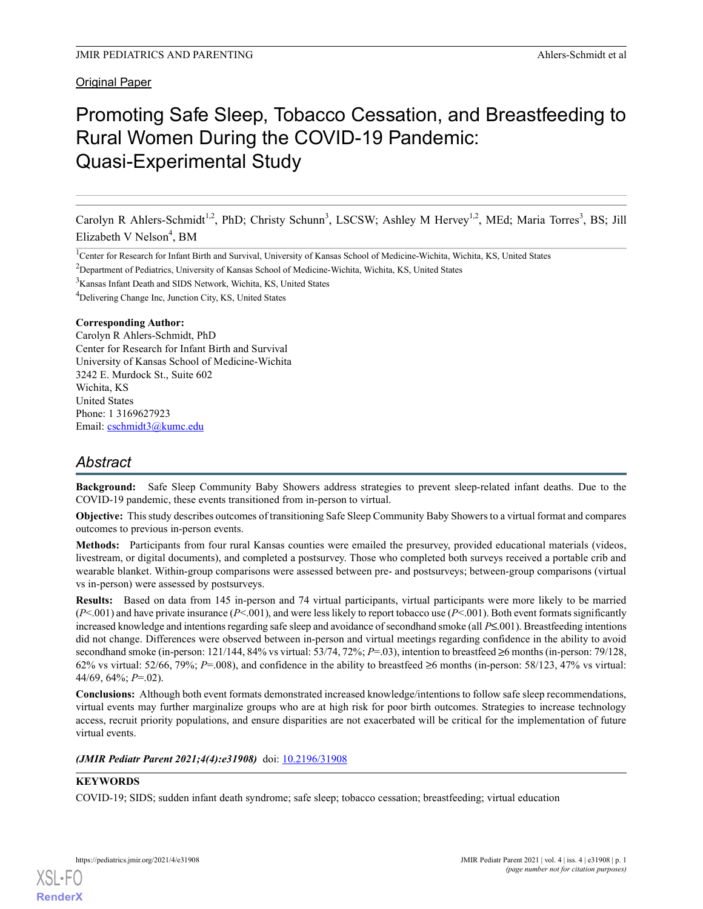# Promoting Safe Sleep, Tobacco Cessation, and Breastfeeding to Rural Women During the COVID-19 Pandemic: Quasi-Experimental Study

Carolyn R Ahlers-Schmidt<sup>1,2</sup>, PhD; Christy Schunn<sup>3</sup>, LSCSW; Ashley M Hervey<sup>1,2</sup>, MEd; Maria Torres<sup>3</sup>, BS; Jill Elizabeth V Nelson<sup>4</sup>, BM

<sup>1</sup>Center for Research for Infant Birth and Survival, University of Kansas School of Medicine-Wichita, Wichita, KS, United States

<sup>2</sup>Department of Pediatrics, University of Kansas School of Medicine-Wichita, Wichita, KS, United States

<sup>3</sup>Kansas Infant Death and SIDS Network, Wichita, KS, United States

<sup>4</sup>Delivering Change Inc, Junction City, KS, United States

#### Corresponding Author:

Carolyn R Ahlers-Schmidt, PhD Center for Research for Infant Birth and Survival University of Kansas School of Medicine-Wichita 3242 E. Murdock St., Suite 602 Wichita, KS United States Phone: 1 3169627923 Email: cschmidt3@kumc.edu

# Abstract

Background: Safe Sleep Community Baby Showers address strategies to prevent sleep-related infant deaths. Due to the COVID-19 pandemic, these events transitioned from in-person to virtual.

Objective: This study describes outcomes of transitioning Safe Sleep Community Baby Showers to a virtual format and compares outcomes to previous in-person events.

Methods: Participants from four rural Kansas counties were emailed the presurvey, provided educational materials (videos, livestream, or digital documents), and completed a postsurvey. Those who completed both surveys received a portable crib and wearable blanket. Within-group comparisons were assessed between pre- and postsurveys; between-group comparisons (virtual vs in-person) were assessed by postsurveys.

Results: Based on data from 145 in-person and 74 virtual participants, virtual participants were more likely to be married  $(P<.001)$  and have private insurance  $(P<.001)$ , and were less likely to report tobacco use  $(P<.001)$ . Both event formats significantly increased knowledge and intentions regarding safe sleep and avoidance of secondhand smoke (all  $P \le 0.001$ ). Breastfeeding intentions did not change. Differences were observed between in-person and virtual meetings regarding confidence in the ability to avoid secondhand smoke (in-person: 121/144, 84% vs virtual: 53/74, 72%;  $P=0.03$ ), intention to breastfeed  $\geq 6$  months (in-person: 79/128, 62% vs virtual:  $52/66$ ,  $79\%$ ;  $P=008$ ), and confidence in the ability to breastfeed  $\geq 6$  months (in-person:  $58/123$ ,  $47\%$  vs virtual: 44/69, 64%;  $P=.02$ ).

Conclusions: Although both event formats demonstrated increased knowledge/intentions to follow safe sleep recommendations, virtual events may further marginalize groups who are at high risk for poor birth outcomes. Strategies to increase technology access, recruit priority populations, and ensure disparities are not exacerbated will be critical for the implementation of future virtual events.

(JMIR Pediatr Parent 2021;4(4):e31908) doi: 10.2196/31908

XSL•FO

#### **KEYWORDS**

**RenderX** 

COVID-19; SIDS; sudden infant death syndrome; safe sleep; tobacco cessation; breastfeeding; virtual education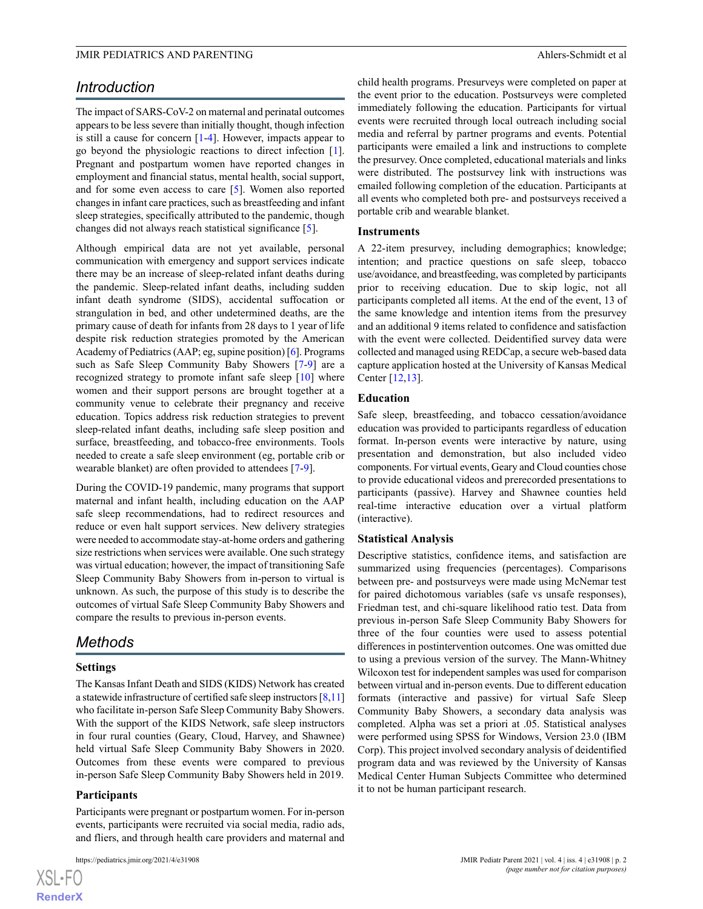# Introduction

The impact of SARS-CoV-2 on maternal and perinatal outcomes appears to be less severe than initially thought, though infection is still a cause for concern [1-4]. However, impacts appear to go beyond the physiologic reactions to direct infection [1]. Pregnant and postpartum women have reported changes in employment and financial status, mental health, social support, and for some even access to care [5]. Women also reported changes in infant care practices, such as breastfeeding and infant sleep strategies, specifically attributed to the pandemic, though changes did not always reach statistical significance [5].

Although empirical data are not yet available, personal communication with emergency and support services indicate there may be an increase of sleep-related infant deaths during the pandemic. Sleep-related infant deaths, including sudden infant death syndrome (SIDS), accidental suffocation or strangulation in bed, and other undetermined deaths, are the primary cause of death for infants from 28 days to 1 year of life despite risk reduction strategies promoted by the American Academy of Pediatrics (AAP; eg, supine position) [6]. Programs such as Safe Sleep Community Baby Showers [7-9] are a recognized strategy to promote infant safe sleep [10] where women and their support persons are brought together at a community venue to celebrate their pregnancy and receive education. Topics address risk reduction strategies to prevent sleep-related infant deaths, including safe sleep position and surface, breastfeeding, and tobacco-free environments. Tools needed to create a safe sleep environment (eg, portable crib or wearable blanket) are often provided to attendees [7-9].

During the COVID-19 pandemic, many programs that support maternal and infant health, including education on the AAP safe sleep recommendations, had to redirect resources and reduce or even halt support services. New delivery strategies were needed to accommodate stay-at-home orders and gathering size restrictions when services were available. One such strategy was virtual education; however, the impact of transitioning Safe Sleep Community Baby Showers from in-person to virtual is unknown. As such, the purpose of this study is to describe the outcomes of virtual Safe Sleep Community Baby Showers and compare the results to previous in-person events.

# Methods

#### Settings

The Kansas Infant Death and SIDS (KIDS) Network has created a statewide infrastructure of certified safe sleep instructors [8,11] who facilitate in-person Safe Sleep Community Baby Showers. With the support of the KIDS Network, safe sleep instructors in four rural counties (Geary, Cloud, Harvey, and Shawnee) held virtual Safe Sleep Community Baby Showers in 2020. Outcomes from these events were compared to previous in-person Safe Sleep Community Baby Showers held in 2019.

#### Participants

Participants were pregnant or postpartum women. For in-person events, participants were recruited via social media, radio ads, and fliers, and through health care providers and maternal and

child health programs. Presurveys were completed on paper at the event prior to the education. Postsurveys were completed immediately following the education. Participants for virtual events were recruited through local outreach including social media and referral by partner programs and events. Potential participants were emailed a link and instructions to complete the presurvey. Once completed, educational materials and links were distributed. The postsurvey link with instructions was emailed following completion of the education. Participants at all events who completed both pre- and postsurveys received a portable crib and wearable blanket.

#### **Instruments**

A 22-item presurvey, including demographics; knowledge; intention; and practice questions on safe sleep, tobacco use/avoidance, and breastfeeding, was completed by participants prior to receiving education. Due to skip logic, not all participants completed all items. At the end of the event, 13 of the same knowledge and intention items from the presurvey and an additional 9 items related to confidence and satisfaction with the event were collected. Deidentified survey data were collected and managed using REDCap, a secure web-based data capture application hosted at the University of Kansas Medical Center [12,13].

#### Education

Safe sleep, breastfeeding, and tobacco cessation/avoidance education was provided to participants regardless of education format. In-person events were interactive by nature, using presentation and demonstration, but also included video components. For virtual events, Geary and Cloud counties chose to provide educational videos and prerecorded presentations to participants (passive). Harvey and Shawnee counties held real-time interactive education over a virtual platform (interactive).

#### Statistical Analysis

Descriptive statistics, confidence items, and satisfaction are summarized using frequencies (percentages). Comparisons between pre- and postsurveys were made using McNemar test for paired dichotomous variables (safe vs unsafe responses), Friedman test, and chi-square likelihood ratio test. Data from previous in-person Safe Sleep Community Baby Showers for three of the four counties were used to assess potential differences in postintervention outcomes. One was omitted due to using a previous version of the survey. The Mann-Whitney Wilcoxon test for independent samples was used for comparison between virtual and in-person events. Due to different education formats (interactive and passive) for virtual Safe Sleep Community Baby Showers, a secondary data analysis was completed. Alpha was set a priori at .05. Statistical analyses were performed using SPSS for Windows, Version 23.0 (IBM Corp). This project involved secondary analysis of deidentified program data and was reviewed by the University of Kansas Medical Center Human Subjects Committee who determined it to not be human participant research.

XSL•FO RenderX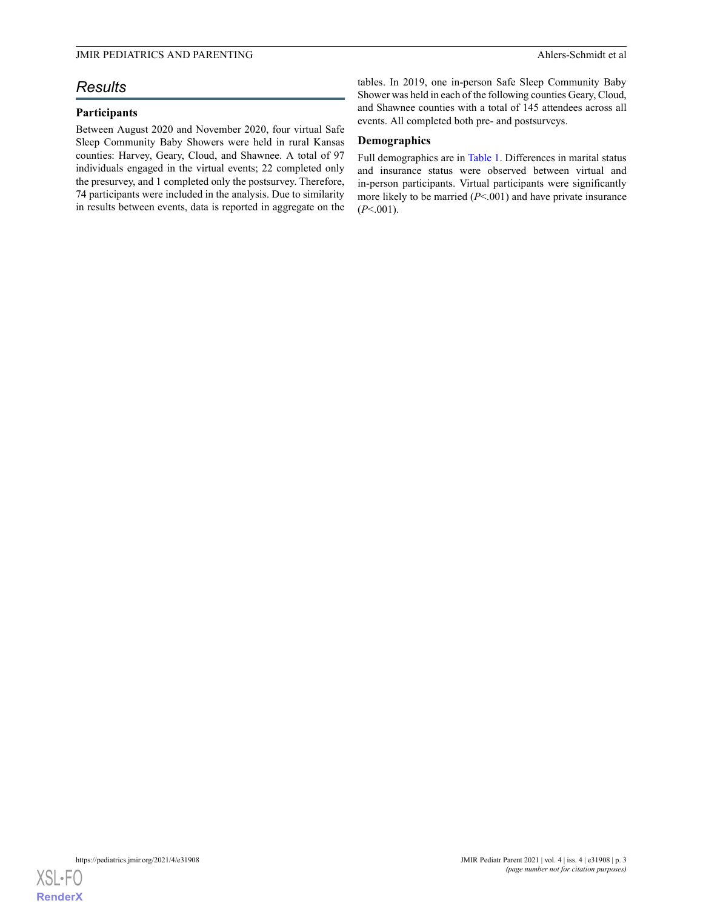# Results

### Participants

Between August 2020 and November 2020, four virtual Safe Sleep Community Baby Showers were held in rural Kansas counties: Harvey, Geary, Cloud, and Shawnee. A total of 97 individuals engaged in the virtual events; 22 completed only the presurvey, and 1 completed only the postsurvey. Therefore, 74 participants were included in the analysis. Due to similarity in results between events, data is reported in aggregate on the tables. In 2019, one in-person Safe Sleep Community Baby Shower was held in each of the following counties Geary, Cloud, and Shawnee counties with a total of 145 attendees across all events. All completed both pre- and postsurveys.

#### Demographics

Full demographics are in Table 1. Differences in marital status and insurance status were observed between virtual and in-person participants. Virtual participants were significantly more likely to be married  $(P < 001)$  and have private insurance  $(P<.001)$ .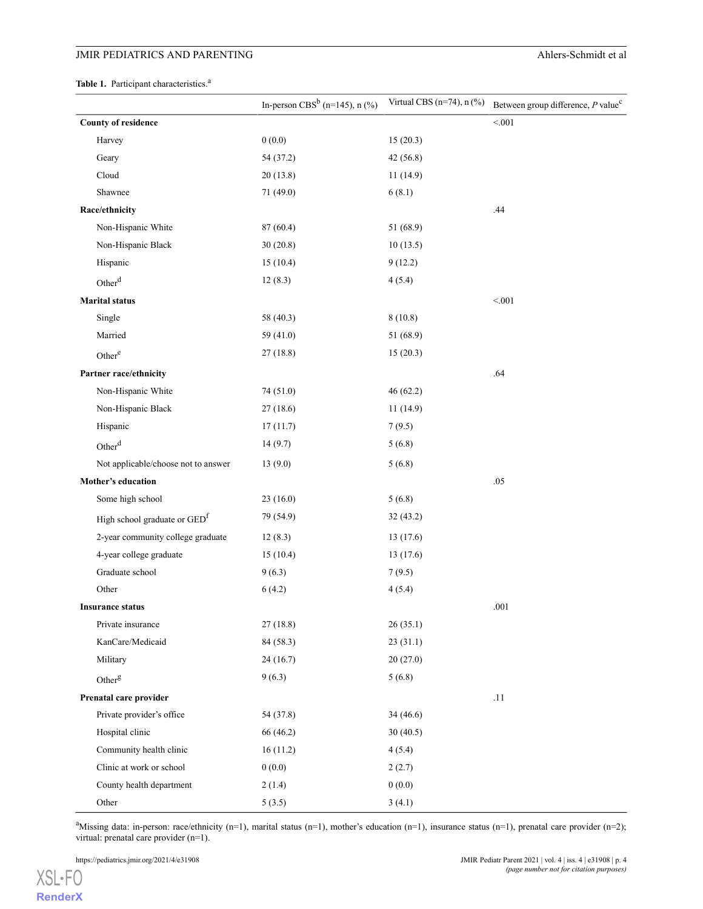## JMIR PEDIATRICS AND PARENTING Ahlers-Schmidt et al

Table 1. Participant characteristics.<sup>a</sup>

|                                          | In-person $CBS^b$ (n=145), n (%) | Virtual CBS (n=74), n (%) | Between group difference, P value <sup>c</sup> |
|------------------------------------------|----------------------------------|---------------------------|------------------------------------------------|
| <b>County of residence</b>               |                                  |                           | < 0.01                                         |
| Harvey                                   | 0(0.0)                           | 15(20.3)                  |                                                |
| Geary                                    | 54 (37.2)                        | 42(56.8)                  |                                                |
| Cloud                                    | 20(13.8)                         | 11(14.9)                  |                                                |
| Shawnee                                  | 71 (49.0)                        | 6(8.1)                    |                                                |
| Race/ethnicity                           |                                  |                           | .44                                            |
| Non-Hispanic White                       | 87 (60.4)                        | 51 (68.9)                 |                                                |
| Non-Hispanic Black                       | 30(20.8)                         | 10(13.5)                  |                                                |
| Hispanic                                 | 15(10.4)                         | 9(12.2)                   |                                                |
| Other <sup>d</sup>                       | 12(8.3)                          | 4(5.4)                    |                                                |
| <b>Marital status</b>                    |                                  |                           | < 0.01                                         |
| Single                                   | 58 (40.3)                        | 8(10.8)                   |                                                |
| Married                                  | 59 (41.0)                        | 51 (68.9)                 |                                                |
| Other <sup>e</sup>                       | 27(18.8)                         | 15(20.3)                  |                                                |
| Partner race/ethnicity                   |                                  |                           | .64                                            |
| Non-Hispanic White                       | 74 (51.0)                        | 46 (62.2)                 |                                                |
| Non-Hispanic Black                       | 27 (18.6)                        | 11(14.9)                  |                                                |
| Hispanic                                 | 17(11.7)                         | 7(9.5)                    |                                                |
| Other <sup>d</sup>                       | 14(9.7)                          | 5(6.8)                    |                                                |
| Not applicable/choose not to answer      | 13(9.0)                          | 5(6.8)                    |                                                |
| Mother's education                       |                                  |                           | .05                                            |
| Some high school                         | 23(16.0)                         | 5(6.8)                    |                                                |
| High school graduate or GED <sup>f</sup> | 79 (54.9)                        | 32(43.2)                  |                                                |
| 2-year community college graduate        | 12(8.3)                          | 13(17.6)                  |                                                |
| 4-year college graduate                  | 15(10.4)                         | 13(17.6)                  |                                                |
| Graduate school                          | 9(6.3)                           | 7(9.5)                    |                                                |
| Other                                    | 6(4.2)                           | 4(5.4)                    |                                                |
| <b>Insurance status</b>                  |                                  |                           | .001                                           |
| Private insurance                        | 27(18.8)                         | 26(35.1)                  |                                                |
| KanCare/Medicaid                         | 84 (58.3)                        | 23(31.1)                  |                                                |
| Military                                 | 24(16.7)                         | 20(27.0)                  |                                                |
| Otherg                                   | 9(6.3)                           | 5(6.8)                    |                                                |
| Prenatal care provider                   |                                  |                           | .11                                            |
| Private provider's office                | 54 (37.8)                        | 34 (46.6)                 |                                                |
| Hospital clinic                          | 66 (46.2)                        | 30(40.5)                  |                                                |
| Community health clinic                  | 16(11.2)                         | 4(5.4)                    |                                                |
| Clinic at work or school                 | 0(0.0)                           | 2(2.7)                    |                                                |
| County health department                 | 2(1.4)                           | 0(0.0)                    |                                                |
| Other                                    | 5(3.5)                           | 3(4.1)                    |                                                |

<sup>a</sup>Missing data: in-person: race/ethnicity (n=1), marital status (n=1), mother's education (n=1), insurance status (n=1), prenatal care provider (n=2); virtual: prenatal care provider (n=1).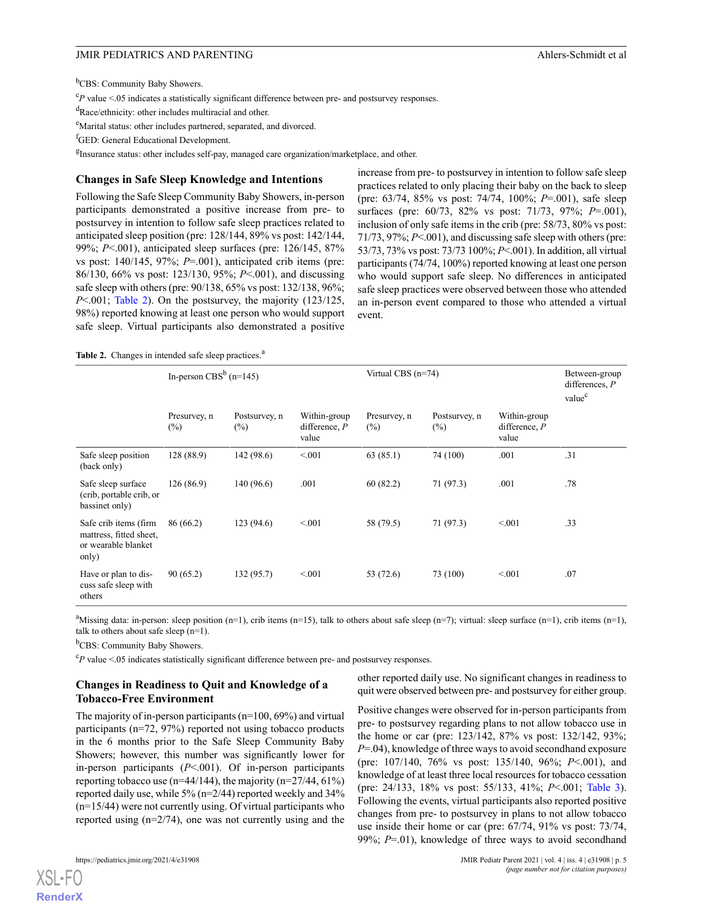<sup>b</sup>CBS: Community Baby Showers.

 ${}^cP$  value <.05 indicates a statistically significant difference between pre- and postsurvey responses.

<sup>d</sup>Race/ethnicity: other includes multiracial and other.

eMarital status: other includes partnered, separated, and divorced.

<sup>f</sup>GED: General Educational Development.

<sup>g</sup>Insurance status: other includes self-pay, managed care organization/marketplace, and other.

#### Changes in Safe Sleep Knowledge and Intentions

Following the Safe Sleep Community Baby Showers, in-person participants demonstrated a positive increase from pre- to postsurvey in intention to follow safe sleep practices related to anticipated sleep position (pre: 128/144, 89% vs post: 142/144, 99%; P<.001), anticipated sleep surfaces (pre: 126/145, 87% vs post:  $140/145$ ,  $97\%$ ;  $P=.001$ ), anticipated crib items (pre: 86/130, 66% vs post: 123/130, 95%; P<.001), and discussing safe sleep with others (pre: 90/138, 65% vs post: 132/138, 96%; P<.001; Table 2). On the postsurvey, the majority (123/125, 98%) reported knowing at least one person who would support safe sleep. Virtual participants also demonstrated a positive

increase from pre- to postsurvey in intention to follow safe sleep practices related to only placing their baby on the back to sleep (pre: 63/74, 85% vs post: 74/74, 100%; P=.001), safe sleep surfaces (pre: 60/73, 82% vs post: 71/73, 97%; P=.001), inclusion of only safe items in the crib (pre: 58/73, 80% vs post: 71/73, 97%; P<.001), and discussing safe sleep with others (pre: 53/73, 73% vs post: 73/73 100%; P<.001). In addition, all virtual participants (74/74, 100%) reported knowing at least one person who would support safe sleep. No differences in anticipated safe sleep practices were observed between those who attended an in-person event compared to those who attended a virtual event.

Table 2. Changes in intended safe sleep practices.<sup>a</sup>

|                                                                                  | In-person CBS <sup>b</sup> (n=145) |                         |                                          | Virtual CBS $(n=74)$   |                         |                                          | Between-group<br>differences, $P$<br>value <sup>c</sup> |
|----------------------------------------------------------------------------------|------------------------------------|-------------------------|------------------------------------------|------------------------|-------------------------|------------------------------------------|---------------------------------------------------------|
|                                                                                  | Presurvey, n<br>$(\%)$             | Postsurvey, n<br>$(\%)$ | Within-group<br>difference, $P$<br>value | Presurvey, n<br>$(\%)$ | Postsurvey, n<br>$(\%)$ | Within-group<br>difference, $P$<br>value |                                                         |
| Safe sleep position<br>(back only)                                               | 128(88.9)                          | 142 (98.6)              | < 0.01                                   | 63(85.1)               | 74 (100)                | .001                                     | .31                                                     |
| Safe sleep surface<br>(crib, portable crib, or<br>bassinet only)                 | 126(86.9)                          | 140 (96.6)              | .001                                     | 60(82.2)               | 71 (97.3)               | .001                                     | .78                                                     |
| Safe crib items (firm<br>mattress, fitted sheet,<br>or wearable blanket<br>only) | 86 (66.2)                          | 123 (94.6)              | < 001                                    | 58 (79.5)              | 71 (97.3)               | < 001                                    | .33                                                     |
| Have or plan to dis-<br>cuss safe sleep with<br>others                           | 90(65.2)                           | 132(95.7)               | < 0.01                                   | 53 (72.6)              | 73 (100)                | < 001                                    | .07                                                     |

<sup>a</sup>Missing data: in-person: sleep position (n=1), crib items (n=15), talk to others about safe sleep (n=7); virtual: sleep surface (n=1), crib items (n=1), talk to others about safe sleep (n=1).

<sup>b</sup>CBS: Community Baby Showers.

 $c_P$  value <.05 indicates statistically significant difference between pre- and postsurvey responses.

#### Changes in Readiness to Quit and Knowledge of a Tobacco-Free Environment

other reported daily use. No significant changes in readiness to quit were observed between pre- and postsurvey for either group.

The majority of in-person participants (n=100, 69%) and virtual participants (n=72, 97%) reported not using tobacco products in the 6 months prior to the Safe Sleep Community Baby Showers; however, this number was significantly lower for in-person participants (P<.001). Of in-person participants reporting tobacco use ( $n=44/144$ ), the majority ( $n=27/44$ , 61%) reported daily use, while 5% (n=2/44) reported weekly and 34% (n=15/44) were not currently using. Of virtual participants who reported using (n=2/74), one was not currently using and the

XSL•FO

Positive changes were observed for in-person participants from pre- to postsurvey regarding plans to not allow tobacco use in the home or car (pre: 123/142, 87% vs post: 132/142, 93%;  $P=0.04$ ), knowledge of three ways to avoid secondhand exposure (pre: 107/140, 76% vs post: 135/140, 96%; P<.001), and knowledge of at least three local resources for tobacco cessation (pre: 24/133, 18% vs post: 55/133, 41%; P<.001; Table 3). Following the events, virtual participants also reported positive changes from pre- to postsurvey in plans to not allow tobacco use inside their home or car (pre: 67/74, 91% vs post: 73/74, 99%;  $P=01$ ), knowledge of three ways to avoid secondhand

RenderX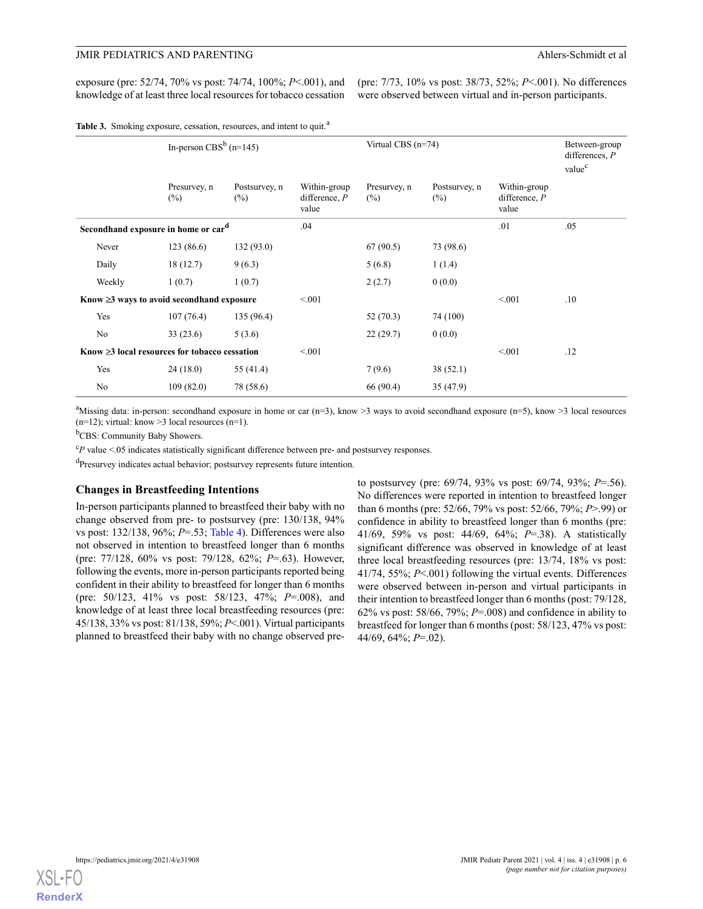exposure (pre: 52/74, 70% vs post: 74/74, 100%; P<.001), and knowledge of at least three local resources for tobacco cessation

(pre: 7/73, 10% vs post: 38/73, 52%; P<.001). No differences were observed between virtual and in-person participants.

Table 3. Smoking exposure, cessation, resources, and intent to quit.<sup>a</sup>

|                                                  |                                                     | In-person CBS <sup>b</sup> (n=145) |                                          | Virtual CBS $(n=74)$   |                         |                                          | Between-group<br>differences, $P$<br>value <sup>c</sup> |
|--------------------------------------------------|-----------------------------------------------------|------------------------------------|------------------------------------------|------------------------|-------------------------|------------------------------------------|---------------------------------------------------------|
|                                                  | Presurvey, n<br>$(\%)$                              | Postsurvey, n<br>$(\%)$            | Within-group<br>difference, $P$<br>value | Presurvey, n<br>$(\%)$ | Postsurvey, n<br>$(\%)$ | Within-group<br>difference, $P$<br>value |                                                         |
|                                                  | Secondhand exposure in home or car <sup>d</sup>     |                                    | .04                                      |                        |                         | .01                                      | .05                                                     |
| Never                                            | 123(86.6)                                           | 132(93.0)                          |                                          | 67(90.5)               | 73 (98.6)               |                                          |                                                         |
| Daily                                            | 18(12.7)                                            | 9(6.3)                             |                                          | 5(6.8)                 | 1(1.4)                  |                                          |                                                         |
| Weekly                                           | 1(0.7)                                              | 1(0.7)                             |                                          | 2(2.7)                 | 0(0.0)                  |                                          |                                                         |
| Know $\geq$ 3 ways to avoid second hand exposure |                                                     | < 0.01                             |                                          |                        | < 0.01                  | .10                                      |                                                         |
| Yes                                              | 107(76.4)                                           | 135 (96.4)                         |                                          | 52 (70.3)              | 74 (100)                |                                          |                                                         |
| No                                               | 33(23.6)                                            | 5(3.6)                             |                                          | 22(29.7)               | 0(0.0)                  |                                          |                                                         |
|                                                  | Know $\geq$ 3 local resources for tobacco cessation |                                    | < 0.01                                   |                        |                         | < 001                                    | .12                                                     |
| Yes                                              | 24(18.0)                                            | 55 (41.4)                          |                                          | 7(9.6)                 | 38(52.1)                |                                          |                                                         |
| No                                               | 109(82.0)                                           | 78 (58.6)                          |                                          | 66 (90.4)              | 35(47.9)                |                                          |                                                         |

<sup>a</sup>Missing data: in-person: secondhand exposure in home or car  $(n=3)$ , know >3 ways to avoid secondhand exposure  $(n=5)$ , know >3 local resources  $(n=12)$ ; virtual: know >3 local resources  $(n=1)$ .

<sup>b</sup>CBS: Community Baby Showers.

 ${}^cP$  value <.05 indicates statistically significant difference between pre- and postsurvey responses.

<sup>d</sup>Presurvey indicates actual behavior; postsurvey represents future intention.

#### Changes in Breastfeeding Intentions

In-person participants planned to breastfeed their baby with no change observed from pre- to postsurvey (pre: 130/138, 94% vs post:  $132/138$ ,  $96\%$ ;  $P=.53$ ; Table 4). Differences were also not observed in intention to breastfeed longer than 6 months (pre: 77/128, 60% vs post: 79/128, 62%; P=.63). However, following the events, more in-person participants reported being confident in their ability to breastfeed for longer than 6 months (pre: 50/123, 41% vs post: 58/123, 47%; P=.008), and knowledge of at least three local breastfeeding resources (pre: 45/138, 33% vs post: 81/138, 59%; P<.001). Virtual participants planned to breastfeed their baby with no change observed preto postsurvey (pre: 69/74, 93% vs post: 69/74, 93%; P=.56). No differences were reported in intention to breastfeed longer than 6 months (pre: 52/66, 79% vs post: 52/66, 79%; P>.99) or confidence in ability to breastfeed longer than 6 months (pre: 41/69, 59% vs post: 44/69, 64%; P=.38). A statistically significant difference was observed in knowledge of at least three local breastfeeding resources (pre: 13/74, 18% vs post: 41/74, 55%; P<.001) following the virtual events. Differences were observed between in-person and virtual participants in their intention to breastfeed longer than 6 months (post: 79/128, 62% vs post: 58/66, 79%;  $P = .008$ ) and confidence in ability to breastfeed for longer than 6 months (post: 58/123, 47% vs post: 44/69, 64%; P=.02).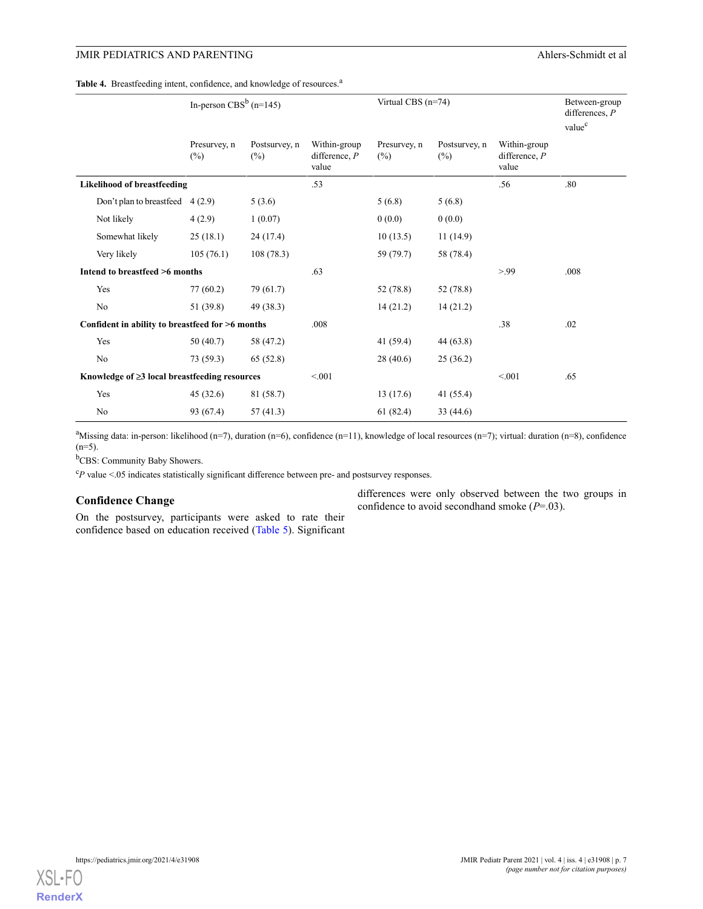#### Table 4. Breastfeeding intent, confidence, and knowledge of resources.<sup>a</sup>

|                                                     |                                                  | In-person $CBS^b$ (n=145) |                         | Virtual CBS (n=74)                       |                     |                         |                                          | Between-group<br>differences, $P$<br>value <sup>c</sup> |
|-----------------------------------------------------|--------------------------------------------------|---------------------------|-------------------------|------------------------------------------|---------------------|-------------------------|------------------------------------------|---------------------------------------------------------|
|                                                     |                                                  | Presurvey, n<br>$(\%)$    | Postsurvey, n<br>$(\%)$ | Within-group<br>difference, $P$<br>value | Presurvey, n<br>(%) | Postsurvey, n<br>$(\%)$ | Within-group<br>difference, $P$<br>value |                                                         |
|                                                     | <b>Likelihood of breastfeeding</b>               |                           |                         | .53                                      |                     |                         | .56                                      | .80                                                     |
|                                                     | Don't plan to breastfeed                         | 4(2.9)                    | 5(3.6)                  |                                          | 5(6.8)              | 5(6.8)                  |                                          |                                                         |
|                                                     | Not likely                                       | 4(2.9)                    | 1(0.07)                 |                                          | 0(0.0)              | 0(0.0)                  |                                          |                                                         |
|                                                     | Somewhat likely                                  | 25(18.1)                  | 24 (17.4)               |                                          | 10(13.5)            | 11(14.9)                |                                          |                                                         |
|                                                     | Very likely                                      | 105(76.1)                 | 108(78.3)               |                                          | 59 (79.7)           | 58 (78.4)               |                                          |                                                         |
|                                                     | Intend to breastfeed >6 months                   |                           |                         | .63                                      |                     |                         | > 99                                     | .008                                                    |
|                                                     | Yes                                              | 77(60.2)                  | 79 (61.7)               |                                          | 52 (78.8)           | 52 (78.8)               |                                          |                                                         |
|                                                     | No                                               | 51 (39.8)                 | 49 (38.3)               |                                          | 14(21.2)            | 14(21.2)                |                                          |                                                         |
|                                                     | Confident in ability to breastfeed for >6 months |                           |                         | .008                                     |                     |                         | .38                                      | .02                                                     |
|                                                     | Yes                                              | 50(40.7)                  | 58 (47.2)               |                                          | 41 (59.4)           | 44 (63.8)               |                                          |                                                         |
|                                                     | N <sub>o</sub>                                   | 73 (59.3)                 | 65(52.8)                |                                          | 28(40.6)            | 25(36.2)                |                                          |                                                         |
| Knowledge of $\geq$ 3 local breastfeeding resources |                                                  | < 0.01                    |                         |                                          | < 0.01              | .65                     |                                          |                                                         |
|                                                     | Yes                                              | 45(32.6)                  | 81 (58.7)               |                                          | 13(17.6)            | 41 (55.4)               |                                          |                                                         |
|                                                     | No                                               | 93 (67.4)                 | 57(41.3)                |                                          | 61(82.4)            | 33(44.6)                |                                          |                                                         |

<sup>a</sup>Missing data: in-person: likelihood (n=7), duration (n=6), confidence (n=11), knowledge of local resources (n=7); virtual: duration (n=8), confidence (n=5).

<sup>b</sup>CBS: Community Baby Showers.

 ${}^cP$  value <.05 indicates statistically significant difference between pre- and postsurvey responses.

#### Confidence Change

On the postsurvey, participants were asked to rate their confidence based on education received (Table 5). Significant

differences were only observed between the two groups in confidence to avoid secondhand smoke  $(P=.03)$ .

XSL•FO RenderX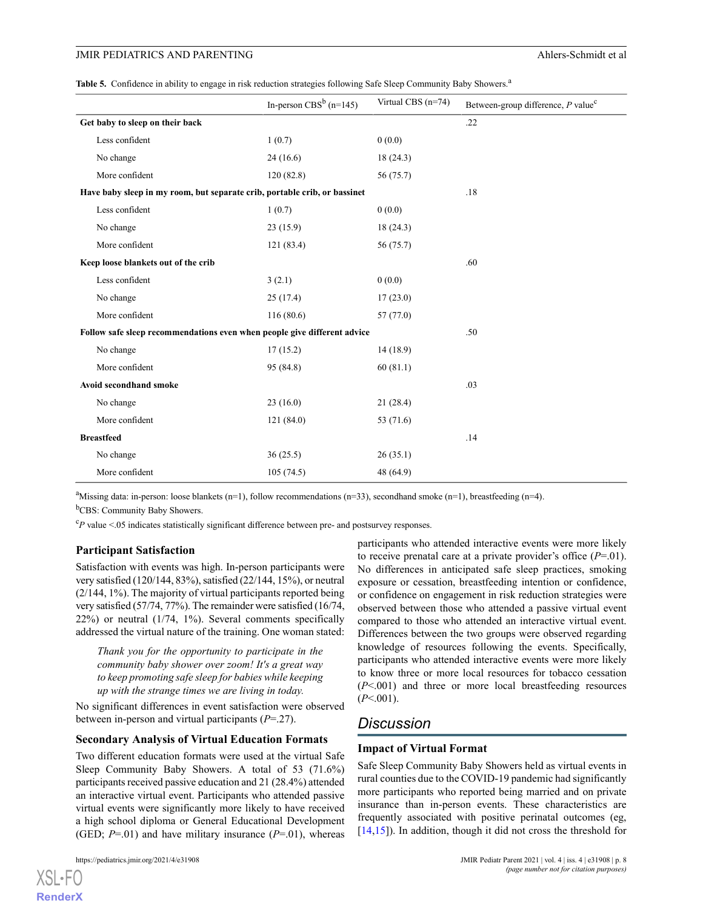| Table 5. Confidence in ability to engage in risk reduction strategies following Safe Sleep Community Baby Showers. <sup>a</sup> |  |  |  |
|---------------------------------------------------------------------------------------------------------------------------------|--|--|--|
|                                                                                                                                 |  |  |  |

|                                                                           | In-person CBS <sup>b</sup> (n=145) | Virtual CBS (n=74) | Between-group difference, $P$ value <sup>c</sup> |
|---------------------------------------------------------------------------|------------------------------------|--------------------|--------------------------------------------------|
| Get baby to sleep on their back                                           |                                    |                    | .22                                              |
| Less confident                                                            | 1(0.7)                             | 0(0.0)             |                                                  |
| No change                                                                 | 24(16.6)                           | 18(24.3)           |                                                  |
| More confident                                                            | 120(82.8)                          | 56 (75.7)          |                                                  |
| Have baby sleep in my room, but separate crib, portable crib, or bassinet |                                    |                    | .18                                              |
| Less confident                                                            | 1(0.7)                             | 0(0.0)             |                                                  |
| No change                                                                 | 23(15.9)                           | 18(24.3)           |                                                  |
| More confident                                                            | 121 (83.4)                         | 56 (75.7)          |                                                  |
| Keep loose blankets out of the crib                                       |                                    |                    | .60                                              |
| Less confident                                                            | 3(2.1)                             | 0(0.0)             |                                                  |
| No change                                                                 | 25(17.4)                           | 17(23.0)           |                                                  |
| More confident                                                            | 116(80.6)                          | 57(77.0)           |                                                  |
| Follow safe sleep recommendations even when people give different advice  |                                    |                    | .50                                              |
| No change                                                                 | 17(15.2)                           | 14(18.9)           |                                                  |
| More confident                                                            | 95 (84.8)                          | 60(81.1)           |                                                  |
| Avoid secondhand smoke                                                    |                                    |                    | .03                                              |
| No change                                                                 | 23(16.0)                           | 21(28.4)           |                                                  |
| More confident                                                            | 121(84.0)                          | 53 (71.6)          |                                                  |
| <b>Breastfeed</b>                                                         |                                    |                    | .14                                              |
| No change                                                                 | 36(25.5)                           | 26(35.1)           |                                                  |
| More confident                                                            | 105(74.5)                          | 48 (64.9)          |                                                  |

<sup>a</sup>Missing data: in-person: loose blankets (n=1), follow recommendations (n=33), secondhand smoke (n=1), breastfeeding (n=4). <sup>b</sup>CBS: Community Baby Showers.

 ${}^{c}P$  value <.05 indicates statistically significant difference between pre- and postsurvey responses.

#### Participant Satisfaction

Satisfaction with events was high. In-person participants were very satisfied (120/144, 83%), satisfied (22/144, 15%), or neutral (2/144, 1%). The majority of virtual participants reported being very satisfied (57/74, 77%). The remainder were satisfied (16/74, 22%) or neutral (1/74, 1%). Several comments specifically addressed the virtual nature of the training. One woman stated:

Thank you for the opportunity to participate in the community baby shower over zoom! It's a great way to keep promoting safe sleep for babies while keeping up with the strange times we are living in today.

No significant differences in event satisfaction were observed between in-person and virtual participants  $(P=27)$ .

#### Secondary Analysis of Virtual Education Formats

Two different education formats were used at the virtual Safe Sleep Community Baby Showers. A total of 53 (71.6%) participants received passive education and 21 (28.4%) attended an interactive virtual event. Participants who attended passive virtual events were significantly more likely to have received a high school diploma or General Educational Development (GED;  $P=.01$ ) and have military insurance ( $P=.01$ ), whereas participants who attended interactive events were more likely to receive prenatal care at a private provider's office  $(P=01)$ . No differences in anticipated safe sleep practices, smoking exposure or cessation, breastfeeding intention or confidence, or confidence on engagement in risk reduction strategies were observed between those who attended a passive virtual event compared to those who attended an interactive virtual event. Differences between the two groups were observed regarding knowledge of resources following the events. Specifically, participants who attended interactive events were more likely to know three or more local resources for tobacco cessation  $(P<.001)$  and three or more local breastfeeding resources  $(P<.001)$ .

### Discussion

#### Impact of Virtual Format

Safe Sleep Community Baby Showers held as virtual events in rural counties due to the COVID-19 pandemic had significantly more participants who reported being married and on private insurance than in-person events. These characteristics are frequently associated with positive perinatal outcomes (eg, [14,15]). In addition, though it did not cross the threshold for

```
XSL•FO
RenderX
```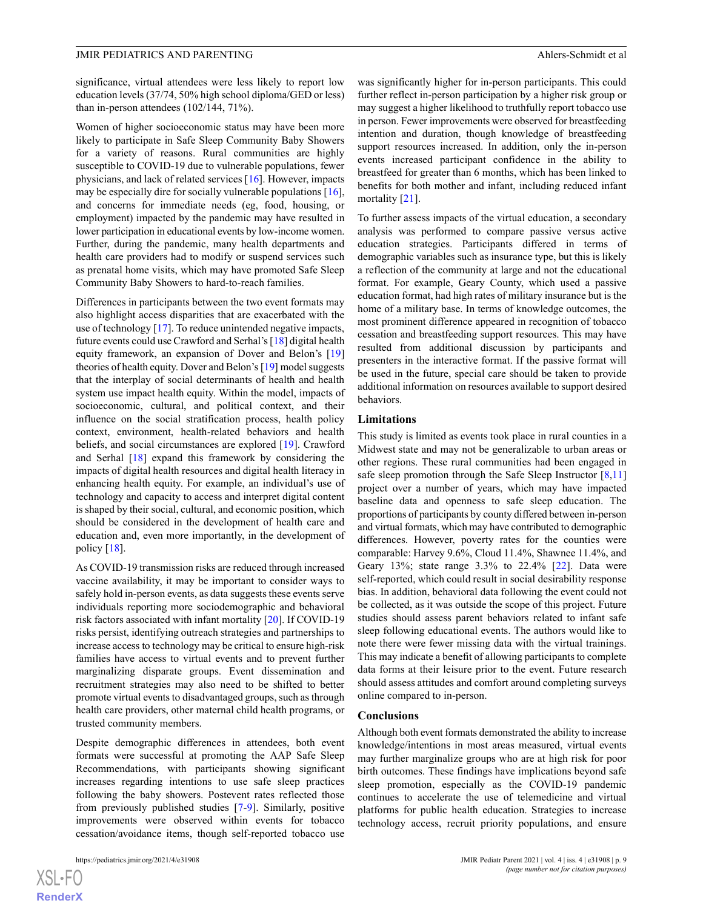significance, virtual attendees were less likely to report low education levels (37/74, 50% high school diploma/GED or less) than in-person attendees (102/144, 71%).

Women of higher socioeconomic status may have been more likely to participate in Safe Sleep Community Baby Showers for a variety of reasons. Rural communities are highly susceptible to COVID-19 due to vulnerable populations, fewer physicians, and lack of related services [16]. However, impacts may be especially dire for socially vulnerable populations [16], and concerns for immediate needs (eg, food, housing, or employment) impacted by the pandemic may have resulted in lower participation in educational events by low-income women. Further, during the pandemic, many health departments and health care providers had to modify or suspend services such as prenatal home visits, which may have promoted Safe Sleep Community Baby Showers to hard-to-reach families.

Differences in participants between the two event formats may also highlight access disparities that are exacerbated with the use of technology [17]. To reduce unintended negative impacts, future events could use Crawford and Serhal's [18] digital health equity framework, an expansion of Dover and Belon's [19] theories of health equity. Dover and Belon's [19] model suggests that the interplay of social determinants of health and health system use impact health equity. Within the model, impacts of socioeconomic, cultural, and political context, and their influence on the social stratification process, health policy context, environment, health-related behaviors and health beliefs, and social circumstances are explored [19]. Crawford and Serhal [18] expand this framework by considering the impacts of digital health resources and digital health literacy in enhancing health equity. For example, an individual's use of technology and capacity to access and interpret digital content is shaped by their social, cultural, and economic position, which should be considered in the development of health care and education and, even more importantly, in the development of policy [18].

As COVID-19 transmission risks are reduced through increased vaccine availability, it may be important to consider ways to safely hold in-person events, as data suggests these events serve individuals reporting more sociodemographic and behavioral risk factors associated with infant mortality [20]. If COVID-19 risks persist, identifying outreach strategies and partnerships to increase access to technology may be critical to ensure high-risk families have access to virtual events and to prevent further marginalizing disparate groups. Event dissemination and recruitment strategies may also need to be shifted to better promote virtual events to disadvantaged groups, such as through health care providers, other maternal child health programs, or trusted community members.

Despite demographic differences in attendees, both event formats were successful at promoting the AAP Safe Sleep Recommendations, with participants showing significant increases regarding intentions to use safe sleep practices following the baby showers. Postevent rates reflected those from previously published studies [7-9]. Similarly, positive improvements were observed within events for tobacco cessation/avoidance items, though self-reported tobacco use

XSL•FO

RenderX

was significantly higher for in-person participants. This could further reflect in-person participation by a higher risk group or may suggest a higher likelihood to truthfully report tobacco use in person. Fewer improvements were observed for breastfeeding intention and duration, though knowledge of breastfeeding support resources increased. In addition, only the in-person events increased participant confidence in the ability to breastfeed for greater than 6 months, which has been linked to benefits for both mother and infant, including reduced infant mortality [21].

To further assess impacts of the virtual education, a secondary analysis was performed to compare passive versus active education strategies. Participants differed in terms of demographic variables such as insurance type, but this is likely a reflection of the community at large and not the educational format. For example, Geary County, which used a passive education format, had high rates of military insurance but is the home of a military base. In terms of knowledge outcomes, the most prominent difference appeared in recognition of tobacco cessation and breastfeeding support resources. This may have resulted from additional discussion by participants and presenters in the interactive format. If the passive format will be used in the future, special care should be taken to provide additional information on resources available to support desired behaviors.

#### Limitations

This study is limited as events took place in rural counties in a Midwest state and may not be generalizable to urban areas or other regions. These rural communities had been engaged in safe sleep promotion through the Safe Sleep Instructor  $[8,11]$ project over a number of years, which may have impacted baseline data and openness to safe sleep education. The proportions of participants by county differed between in-person and virtual formats, which may have contributed to demographic differences. However, poverty rates for the counties were comparable: Harvey 9.6%, Cloud 11.4%, Shawnee 11.4%, and Geary 13%; state range 3.3% to 22.4% [22]. Data were self-reported, which could result in social desirability response bias. In addition, behavioral data following the event could not be collected, as it was outside the scope of this project. Future studies should assess parent behaviors related to infant safe sleep following educational events. The authors would like to note there were fewer missing data with the virtual trainings. This may indicate a benefit of allowing participants to complete data forms at their leisure prior to the event. Future research should assess attitudes and comfort around completing surveys online compared to in-person.

#### Conclusions

Although both event formats demonstrated the ability to increase knowledge/intentions in most areas measured, virtual events may further marginalize groups who are at high risk for poor birth outcomes. These findings have implications beyond safe sleep promotion, especially as the COVID-19 pandemic continues to accelerate the use of telemedicine and virtual platforms for public health education. Strategies to increase technology access, recruit priority populations, and ensure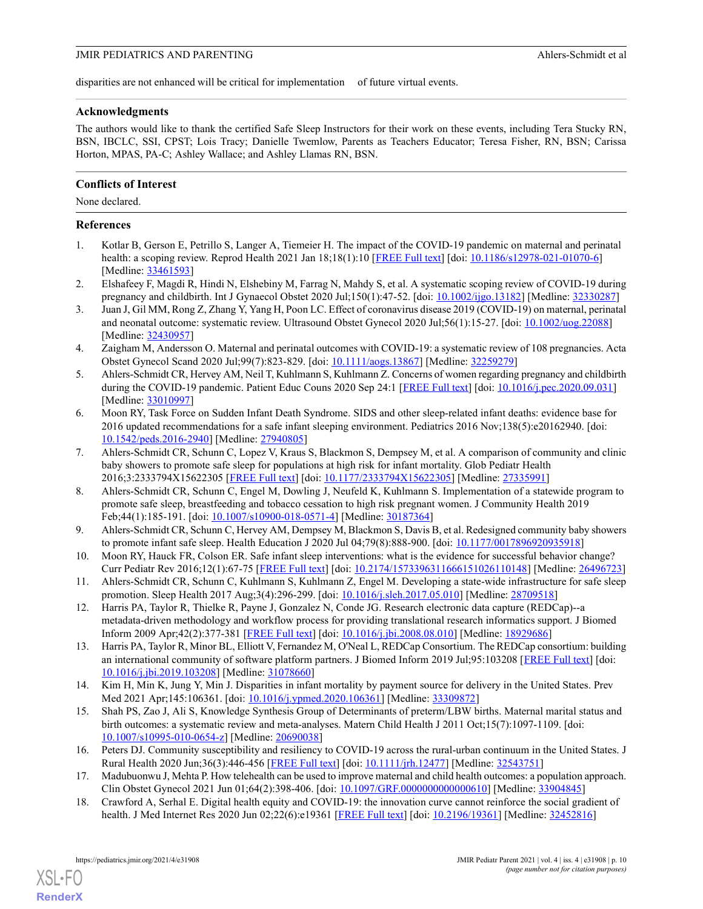disparities are not enhanced will be critical for implementation of future virtual events.

#### Acknowledgments

The authors would like to thank the certified Safe Sleep Instructors for their work on these events, including Tera Stucky RN, BSN, IBCLC, SSI, CPST; Lois Tracy; Danielle Twemlow, Parents as Teachers Educator; Teresa Fisher, RN, BSN; Carissa Horton, MPAS, PA-C; Ashley Wallace; and Ashley Llamas RN, BSN.

#### Conflicts of Interest

None declared.

#### References

- 1. Kotlar B, Gerson E, Petrillo S, Langer A, Tiemeier H. The impact of the COVID-19 pandemic on maternal and perinatal health: a scoping review. Reprod Health 2021 Jan 18;18(1):10 [FREE Full text] [doi: 10.1186/s12978-021-01070-6] [Medline: 33461593]
- 2. Elshafeey F, Magdi R, Hindi N, Elshebiny M, Farrag N, Mahdy S, et al. A systematic scoping review of COVID-19 during pregnancy and childbirth. Int J Gynaecol Obstet 2020 Jul;150(1):47-52. [doi: 10.1002/ijgo.13182] [Medline: 32330287]
- 3. Juan J, Gil MM, Rong Z, Zhang Y, Yang H, Poon LC. Effect of coronavirus disease 2019 (COVID-19) on maternal, perinatal and neonatal outcome: systematic review. Ultrasound Obstet Gynecol 2020 Jul;56(1):15-27. [doi: 10.1002/uog.22088] [Medline: 32430957]
- 4. Zaigham M, Andersson O. Maternal and perinatal outcomes with COVID-19: a systematic review of 108 pregnancies. Acta Obstet Gynecol Scand 2020 Jul;99(7):823-829. [doi: 10.1111/aogs.13867] [Medline: 32259279]
- 5. Ahlers-Schmidt CR, Hervey AM, Neil T, Kuhlmann S, Kuhlmann Z. Concerns of women regarding pregnancy and childbirth during the COVID-19 pandemic. Patient Educ Couns 2020 Sep 24:1 [FREE Full text] [doi: 10.1016/j.pec.2020.09.031] [Medline: 33010997]
- 6. Moon RY, Task Force on Sudden Infant Death Syndrome. SIDS and other sleep-related infant deaths: evidence base for 2016 updated recommendations for a safe infant sleeping environment. Pediatrics 2016 Nov;138(5):e20162940. [doi: 10.1542/peds.2016-2940] [Medline: 27940805]
- 7. Ahlers-Schmidt CR, Schunn C, Lopez V, Kraus S, Blackmon S, Dempsey M, et al. A comparison of community and clinic baby showers to promote safe sleep for populations at high risk for infant mortality. Glob Pediatr Health 2016;3:2333794X15622305 [FREE Full text] [doi: 10.1177/2333794X15622305] [Medline: 27335991]
- 8. Ahlers-Schmidt CR, Schunn C, Engel M, Dowling J, Neufeld K, Kuhlmann S. Implementation of a statewide program to promote safe sleep, breastfeeding and tobacco cessation to high risk pregnant women. J Community Health 2019 Feb;44(1):185-191. [doi: 10.1007/s10900-018-0571-4] [Medline: 30187364]
- 9. Ahlers-Schmidt CR, Schunn C, Hervey AM, Dempsey M, Blackmon S, Davis B, et al. Redesigned community baby showers to promote infant safe sleep. Health Education J 2020 Jul 04;79(8):888-900. [doi: 10.1177/0017896920935918]
- 10. Moon RY, Hauck FR, Colson ER. Safe infant sleep interventions: what is the evidence for successful behavior change? Curr Pediatr Rev 2016;12(1):67-75 [FREE Full text] [doi: 10.2174/1573396311666151026110148] [Medline: 26496723]
- 11. Ahlers-Schmidt CR, Schunn C, Kuhlmann S, Kuhlmann Z, Engel M. Developing a state-wide infrastructure for safe sleep promotion. Sleep Health 2017 Aug;3(4):296-299. [doi: 10.1016/j.sleh.2017.05.010] [Medline: 28709518]
- 12. Harris PA, Taylor R, Thielke R, Payne J, Gonzalez N, Conde JG. Research electronic data capture (REDCap)--a metadata-driven methodology and workflow process for providing translational research informatics support. J Biomed Inform 2009 Apr;42(2):377-381 [FREE Full text] [doi: 10.1016/j.jbi.2008.08.010] [Medline: 18929686]
- 13. Harris PA, Taylor R, Minor BL, Elliott V, Fernandez M, O'Neal L, REDCap Consortium. The REDCap consortium: building an international community of software platform partners. J Biomed Inform 2019 Jul;95:103208 [FREE Full text] [doi: 10.1016/j.jbi.2019.103208] [Medline: 31078660]
- 14. Kim H, Min K, Jung Y, Min J. Disparities in infant mortality by payment source for delivery in the United States. Prev Med 2021 Apr;145:106361. [doi: 10.1016/j.ypmed.2020.106361] [Medline: 33309872]
- 15. Shah PS, Zao J, Ali S, Knowledge Synthesis Group of Determinants of preterm/LBW births. Maternal marital status and birth outcomes: a systematic review and meta-analyses. Matern Child Health J 2011 Oct;15(7):1097-1109. [doi: 10.1007/s10995-010-0654-z] [Medline: 20690038]
- 16. Peters DJ. Community susceptibility and resiliency to COVID-19 across the rural-urban continuum in the United States. J Rural Health 2020 Jun;36(3):446-456 [FREE Full text] [doi: 10.1111/jrh.12477] [Medline: 32543751]
- 17. Madubuonwu J, Mehta P. How telehealth can be used to improve maternal and child health outcomes: a population approach. Clin Obstet Gynecol 2021 Jun 01;64(2):398-406. [doi: 10.1097/GRF.0000000000000610] [Medline: 33904845]
- 18. Crawford A, Serhal E. Digital health equity and COVID-19: the innovation curve cannot reinforce the social gradient of health. J Med Internet Res 2020 Jun 02;22(6):e19361 [FREE Full text] [doi: 10.2196/19361] [Medline: 32452816]

RenderX

XSL•FO